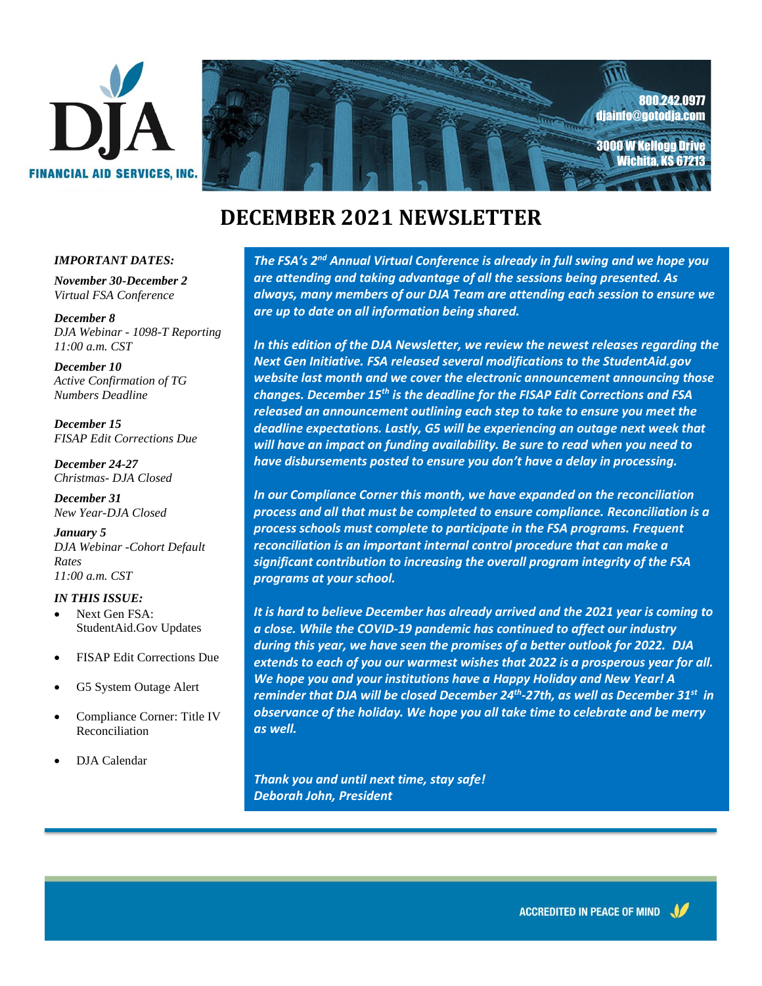



# **DECEMBER 2021 NEWSLETTER**

#### *IMPORTANT DATES:*

*November 30-December 2 Virtual FSA Conference*

*December 8 DJA Webinar - 1098-T Reporting 11:00 a.m. CST*

*December 10 Active Confirmation of TG Numbers Deadline*

*December 15 FISAP Edit Corrections Due*

*December 24-27 Christmas- DJA Closed*

*December 31 New Year-DJA Closed* 

*January 5 DJA Webinar -Cohort Default Rates 11:00 a.m. CST*

#### *IN THIS ISSUE:*

Next Gen FSA: StudentAid.Gov Updates

- FISAP Edit Corrections Due
- G5 System Outage Alert
- Compliance Corner: Title IV Reconciliation
- DJA Calendar

*Fre The FSA's 2nd Annual Virtual Conference is already in full swing and we hope you*  are attending and taking advantage of all the sessions being presented. As<br>always, many members of our DJA Team are attending each session to ensure we *are attending and taking advantage of all the sessions being presented. As are up to date on all information being shared.* 

*It is our pleasure this Holiday Season to In this edition of the DJA Newsletter, we review the newest releases regarding the*  website last month and we cover the electronic announcement announcing those cnanges. December 15th is the aeaailne for the FISAP ealt Corrections and FSA<br>released an announcement outlining each step to take to ensure you meet the *best wishes for a Happy Holiday and a deadline expectations. Lastly, G5 will be experiencing an outage next week that prosperous New Year. have disbursements posted to ensure you don't have a delay in processing. Next Gen Initiative. FSA released several modifications to the StudentAid.gov changes. December 15th is the deadline for the FISAP Edit Corrections and FSA will have an impact on funding availability. Be sure to read when you need to*

 *In our Compliance Corner this month, we have expanded on the reconciliation*  process and all that must be completed to ensure compliance. Reconciliation is a <sub>a</sub>  *reconciliation is an important internal control procedure that can make a Deborah John, President significant contribution to increasing the overall program integrity of the FSA process schools must complete to participate in the FSA programs. Frequent programs at your school.* 

*It is hard to believe December has already arrived and the 2021 year is coming to a close. While the COVID-19 pandemic has continued to affect our industry during this year, we have seen the promises of a better outlook for 2022. DJA extends to each of you our warmest wishes that 2022 is a prosperous year for all. We hope you and your institutions have a Happy Holiday and New Year! A reminder that DJA will be closed December 24th -27th, as well as December 31st in observance of the holiday. We hope you all take time to celebrate and be merry as well.* 

*Thank you and until next time, stay safe! Deborah John, President*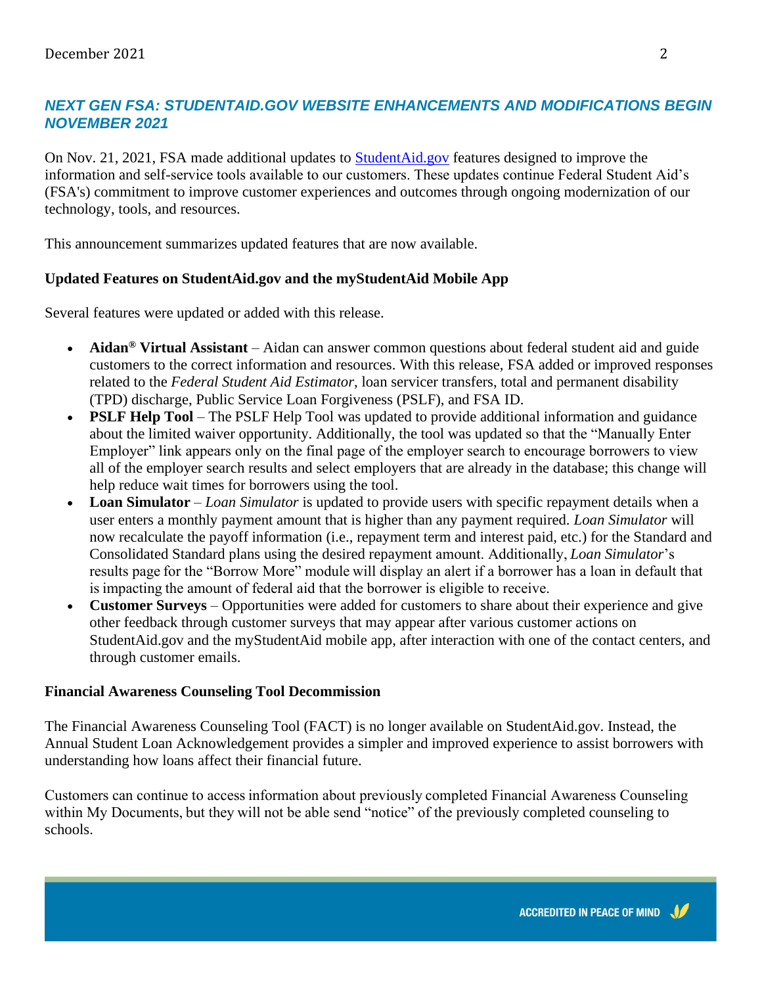# *NEXT GEN FSA: STUDENTAID.GOV WEBSITE ENHANCEMENTS AND MODIFICATIONS BEGIN NOVEMBER 2021*

On Nov. 21, 2021, FSA made additional updates to [StudentAid.gov](https://studentaid.gov/) features designed to improve the information and self-service tools available to our customers. These updates continue Federal Student Aid's (FSA's) commitment to improve customer experiences and outcomes through ongoing modernization of our technology, tools, and resources.

This announcement summarizes updated features that are now available.

# **Updated Features on StudentAid.gov and the myStudentAid Mobile App**

Several features were updated or added with this release.

- **Aidan® Virtual Assistant** Aidan can answer common questions about federal student aid and guide customers to the correct information and resources. With this release, FSA added or improved responses related to the *Federal Student Aid Estimator*, loan servicer transfers, total and permanent disability (TPD) discharge, Public Service Loan Forgiveness (PSLF), and FSA ID.
- **PSLF Help Tool** The PSLF Help Tool was updated to provide additional information and guidance about the limited waiver opportunity. Additionally, the tool was updated so that the "Manually Enter Employer" link appears only on the final page of the employer search to encourage borrowers to view all of the employer search results and select employers that are already in the database; this change will help reduce wait times for borrowers using the tool.
- **Loan Simulator** *Loan Simulator* is updated to provide users with specific repayment details when a user enters a monthly payment amount that is higher than any payment required. *Loan Simulator* will now recalculate the payoff information (i.e., repayment term and interest paid, etc.) for the Standard and Consolidated Standard plans using the desired repayment amount. Additionally, *Loan Simulator*'s results page for the "Borrow More" module will display an alert if a borrower has a loan in default that is impacting the amount of federal aid that the borrower is eligible to receive.
- **Customer Surveys** Opportunities were added for customers to share about their experience and give other feedback through customer surveys that may appear after various customer actions on StudentAid.gov and the myStudentAid mobile app, after interaction with one of the contact centers, and through customer emails.

# **Financial Awareness Counseling Tool Decommission**

The Financial Awareness Counseling Tool (FACT) is no longer available on StudentAid.gov. Instead, the Annual Student Loan Acknowledgement provides a simpler and improved experience to assist borrowers with understanding how loans affect their financial future.

Customers can continue to access information about previously completed Financial Awareness Counseling within My Documents, but they will not be able send "notice" of the previously completed counseling to schools.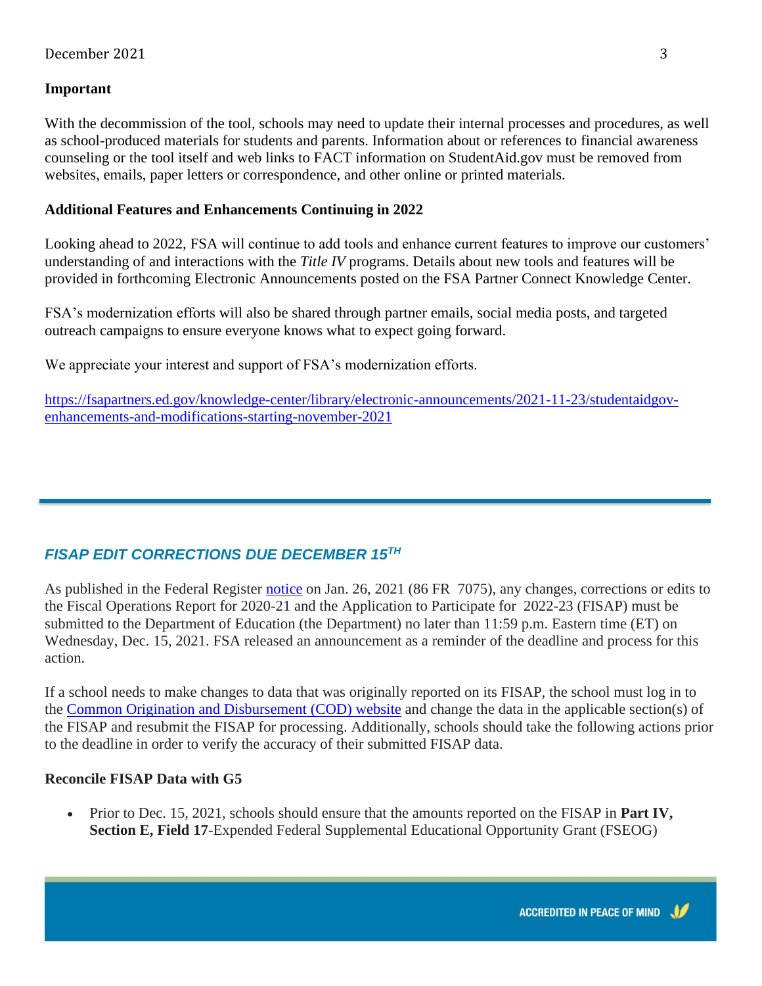# **Important**

With the decommission of the tool, schools may need to update their internal processes and procedures, as well as school-produced materials for students and parents. Information about or references to financial awareness counseling or the tool itself and web links to FACT information on StudentAid.gov must be removed from websites, emails, paper letters or correspondence, and other online or printed materials.

### **Additional Features and Enhancements Continuing in 2022**

Looking ahead to 2022, FSA will continue to add tools and enhance current features to improve our customers' understanding of and interactions with the *Title IV* programs. Details about new tools and features will be provided in forthcoming Electronic Announcements posted on the FSA Partner Connect Knowledge Center.

FSA's modernization efforts will also be shared through partner emails, social media posts, and targeted outreach campaigns to ensure everyone knows what to expect going forward.

We appreciate your interest and support of FSA's modernization efforts.

[https://fsapartners.ed.gov/knowledge-center/library/electronic-announcements/2021-11-23/studentaidgov](https://fsapartners.ed.gov/knowledge-center/library/electronic-announcements/2021-11-23/studentaidgov-enhancements-and-modifications-starting-november-2021)[enhancements-and-modifications-starting-november-2021](https://fsapartners.ed.gov/knowledge-center/library/electronic-announcements/2021-11-23/studentaidgov-enhancements-and-modifications-starting-november-2021)

# *FISAP EDIT CORRECTIONS DUE DECEMBER 15TH*

As published in the Federal Register [notice](https://fsapartners.ed.gov/knowledge-center/library/federal-registers/2021-01-26/campus-based-deadline-dates-notice-2021-22-award-year) on Jan. 26, 2021 (86 FR 7075), any changes, corrections or edits to the Fiscal Operations Report for 2020-21 and the Application to Participate for 2022-23 (FISAP) must be submitted to the Department of Education (the Department) no later than 11:59 p.m. Eastern time (ET) on Wednesday, Dec. 15, 2021. FSA released an announcement as a reminder of the deadline and process for this action.

If a school needs to make changes to data that was originally reported on its FISAP, the school must log in to the [Common Origination and Disbursement \(COD\) website](https://cod.ed.gov/) and change the data in the applicable section(s) of the FISAP and resubmit the FISAP for processing. Additionally, schools should take the following actions prior to the deadline in order to verify the accuracy of their submitted FISAP data.

### **Reconcile FISAP Data with G5**

• Prior to Dec. 15, 2021, schools should ensure that the amounts reported on the FISAP in **Part IV, Section E, Field 17**-Expended Federal Supplemental Educational Opportunity Grant (FSEOG)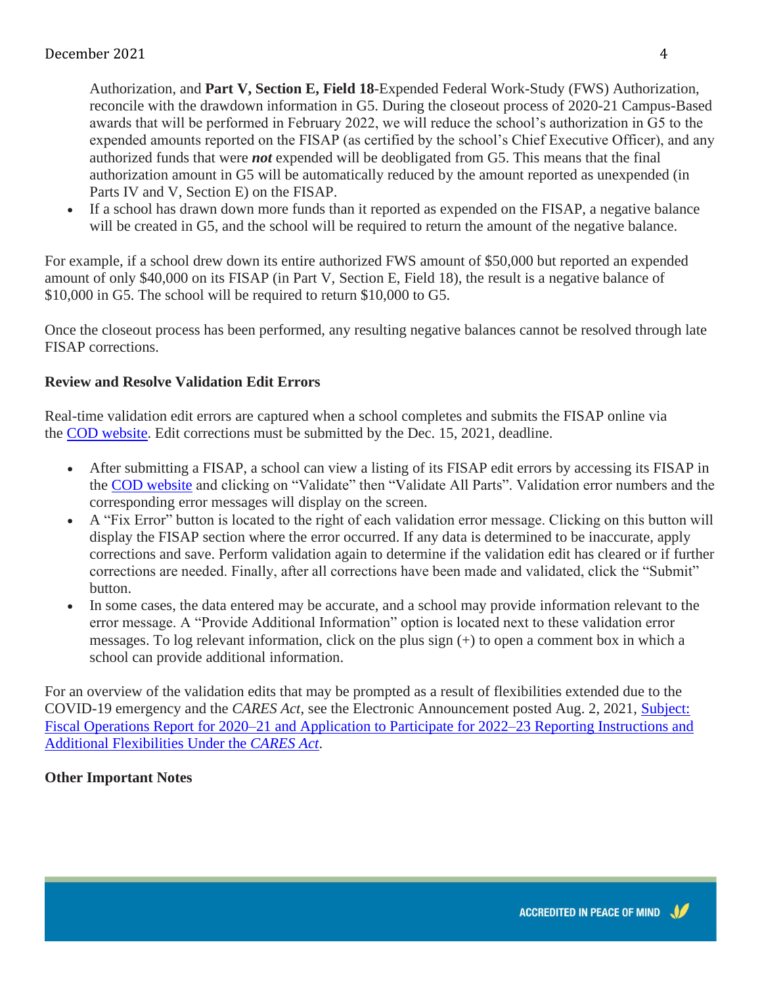Authorization, and **Part V, Section E, Field 18**-Expended Federal Work-Study (FWS) Authorization, reconcile with the drawdown information in G5. During the closeout process of 2020-21 Campus-Based awards that will be performed in February 2022, we will reduce the school's authorization in G5 to the expended amounts reported on the FISAP (as certified by the school's Chief Executive Officer), and any authorized funds that were *not* expended will be deobligated from G5. This means that the final authorization amount in G5 will be automatically reduced by the amount reported as unexpended (in Parts IV and V, Section E) on the FISAP.

• If a school has drawn down more funds than it reported as expended on the FISAP, a negative balance will be created in G5, and the school will be required to return the amount of the negative balance.

For example, if a school drew down its entire authorized FWS amount of \$50,000 but reported an expended amount of only \$40,000 on its FISAP (in Part V, Section E, Field 18), the result is a negative balance of \$10,000 in G5. The school will be required to return \$10,000 to G5.

Once the closeout process has been performed, any resulting negative balances cannot be resolved through late FISAP corrections.

# **Review and Resolve Validation Edit Errors**

Real-time validation edit errors are captured when a school completes and submits the FISAP online via the [COD website.](https://cod.ed.gov/) Edit corrections must be submitted by the Dec. 15, 2021, deadline.

- After submitting a FISAP, a school can view a listing of its FISAP edit errors by accessing its FISAP in the [COD website](https://cod.ed.gov/) and clicking on "Validate" then "Validate All Parts". Validation error numbers and the corresponding error messages will display on the screen.
- A "Fix Error" button is located to the right of each validation error message. Clicking on this button will display the FISAP section where the error occurred. If any data is determined to be inaccurate, apply corrections and save. Perform validation again to determine if the validation edit has cleared or if further corrections are needed. Finally, after all corrections have been made and validated, click the "Submit" button.
- In some cases, the data entered may be accurate, and a school may provide information relevant to the error message. A "Provide Additional Information" option is located next to these validation error messages. To log relevant information, click on the plus sign (+) to open a comment box in which a school can provide additional information.

For an overview of the validation edits that may be prompted as a result of flexibilities extended due to the COVID-19 emergency and the *CARES Act*, see the Electronic Announcement posted Aug. 2, 2021, [Subject:](https://fsapartners.ed.gov/knowledge-center/library/electronic-announcements/2021-08-02/fiscal-operations-report-2020-21-and-application-participate-2022-23-reporting-instructions-and-additional-flexibilities-under-cares-act-ea-id-cb-21-09)  [Fiscal Operations Report for 2020–21 and Application to Participate for 2022–23 Reporting Instructions and](https://fsapartners.ed.gov/knowledge-center/library/electronic-announcements/2021-08-02/fiscal-operations-report-2020-21-and-application-participate-2022-23-reporting-instructions-and-additional-flexibilities-under-cares-act-ea-id-cb-21-09)  [Additional Flexibilities Under the](https://fsapartners.ed.gov/knowledge-center/library/electronic-announcements/2021-08-02/fiscal-operations-report-2020-21-and-application-participate-2022-23-reporting-instructions-and-additional-flexibilities-under-cares-act-ea-id-cb-21-09) *CARES Act*.

# **Other Important Notes**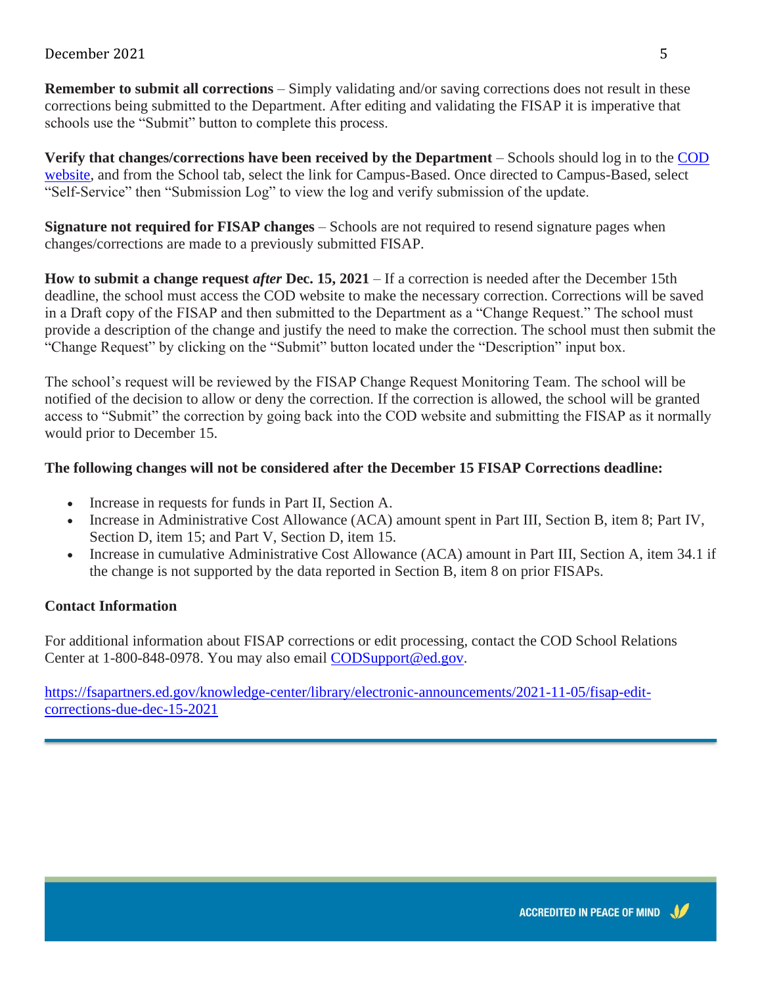### December 2021 5

**Remember to submit all corrections** – Simply validating and/or saving corrections does not result in these corrections being submitted to the Department. After editing and validating the FISAP it is imperative that schools use the "Submit" button to complete this process.

**Verify that changes/corrections have been received by the Department** – Schools should log in to the [COD](https://cod.ed.gov/)  [website,](https://cod.ed.gov/) and from the School tab, select the link for Campus-Based. Once directed to Campus-Based, select "Self-Service" then "Submission Log" to view the log and verify submission of the update.

**Signature not required for FISAP changes** – Schools are not required to resend signature pages when changes/corrections are made to a previously submitted FISAP.

**How to submit a change request** *after* **Dec. 15, 2021** – If a correction is needed after the December 15th deadline, the school must access the COD website to make the necessary correction. Corrections will be saved in a Draft copy of the FISAP and then submitted to the Department as a "Change Request." The school must provide a description of the change and justify the need to make the correction. The school must then submit the "Change Request" by clicking on the "Submit" button located under the "Description" input box.

The school's request will be reviewed by the FISAP Change Request Monitoring Team. The school will be notified of the decision to allow or deny the correction. If the correction is allowed, the school will be granted access to "Submit" the correction by going back into the COD website and submitting the FISAP as it normally would prior to December 15.

### **The following changes will not be considered after the December 15 FISAP Corrections deadline:**

- Increase in requests for funds in Part II, Section A.
- Increase in Administrative Cost Allowance (ACA) amount spent in Part III, Section B, item 8; Part IV, Section D, item 15; and Part V, Section D, item 15.
- Increase in cumulative Administrative Cost Allowance (ACA) amount in Part III, Section A, item 34.1 if the change is not supported by the data reported in Section B, item 8 on prior FISAPs.

# **Contact Information**

For additional information about FISAP corrections or edit processing, contact the COD School Relations Center at 1-800-848-0978. You may also email [CODSupport@ed.gov.](mailto:CODSupport@ed.gov)

[https://fsapartners.ed.gov/knowledge-center/library/electronic-announcements/2021-11-05/fisap-edit](https://fsapartners.ed.gov/knowledge-center/library/electronic-announcements/2021-11-05/fisap-edit-corrections-due-dec-15-2021)[corrections-due-dec-15-2021](https://fsapartners.ed.gov/knowledge-center/library/electronic-announcements/2021-11-05/fisap-edit-corrections-due-dec-15-2021)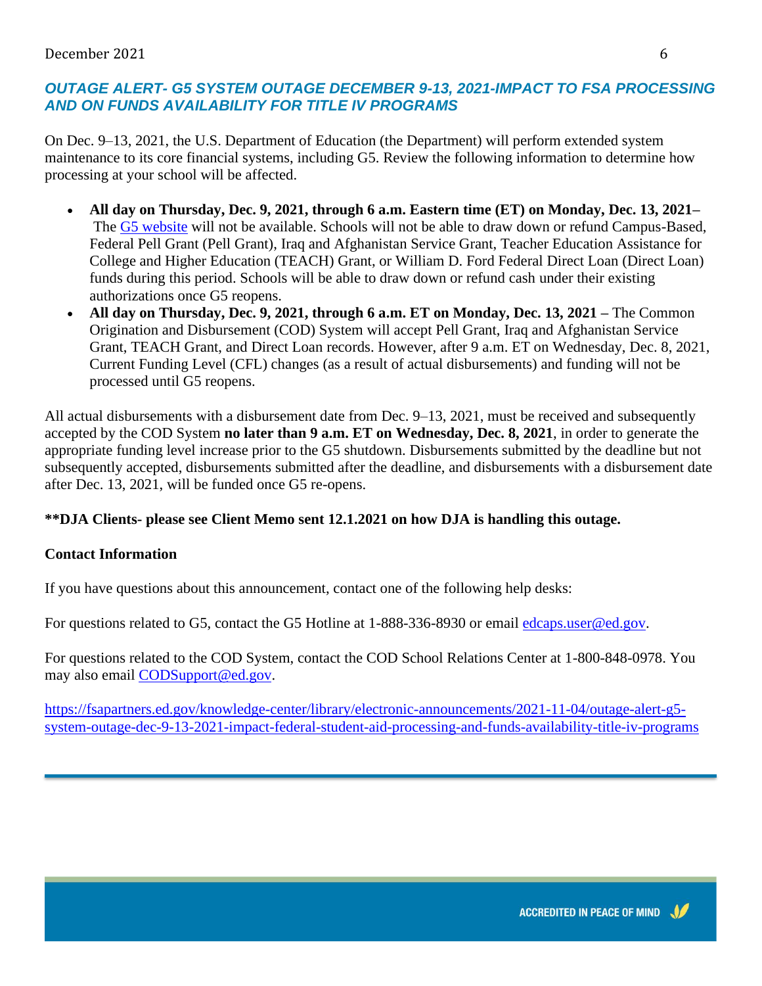# *OUTAGE ALERT- G5 SYSTEM OUTAGE DECEMBER 9-13, 2021-IMPACT TO FSA PROCESSING AND ON FUNDS AVAILABILITY FOR TITLE IV PROGRAMS*

On Dec. 9–13, 2021, the U.S. Department of Education (the Department) will perform extended system maintenance to its core financial systems, including G5. Review the following information to determine how processing at your school will be affected.

- **All day on Thursday, Dec. 9, 2021, through 6 a.m. Eastern time (ET) on Monday, Dec. 13, 2021***–* The [G5 website](https://g5.gov/) will not be available. Schools will not be able to draw down or refund Campus-Based, Federal Pell Grant (Pell Grant), Iraq and Afghanistan Service Grant, Teacher Education Assistance for College and Higher Education (TEACH) Grant, or William D. Ford Federal Direct Loan (Direct Loan) funds during this period. Schools will be able to draw down or refund cash under their existing authorizations once G5 reopens.
- **All day on Thursday, Dec. 9, 2021, through 6 a.m. ET on Monday, Dec. 13, 2021** *–* The Common Origination and Disbursement (COD) System will accept Pell Grant, Iraq and Afghanistan Service Grant, TEACH Grant, and Direct Loan records. However, after 9 a.m. ET on Wednesday, Dec. 8, 2021, Current Funding Level (CFL) changes (as a result of actual disbursements) and funding will not be processed until G5 reopens.

All actual disbursements with a disbursement date from Dec. 9–13, 2021, must be received and subsequently accepted by the COD System **no later than 9 a.m. ET on Wednesday, Dec. 8, 2021**, in order to generate the appropriate funding level increase prior to the G5 shutdown. Disbursements submitted by the deadline but not subsequently accepted, disbursements submitted after the deadline, and disbursements with a disbursement date after Dec. 13, 2021, will be funded once G5 re-opens.

# **\*\*DJA Clients- please see Client Memo sent 12.1.2021 on how DJA is handling this outage.**

# **Contact Information**

If you have questions about this announcement, contact one of the following help desks:

For questions related to G5, contact the G5 Hotline at 1-888-336-8930 or email [edcaps.user@ed.gov.](mailto:edcaps.user@ed.gov)

For questions related to the COD System, contact the COD School Relations Center at 1-800-848-0978. You may also email [CODSupport@ed.gov.](mailto:CODSupport@ed.gov)

[https://fsapartners.ed.gov/knowledge-center/library/electronic-announcements/2021-11-04/outage-alert-g5](https://fsapartners.ed.gov/knowledge-center/library/electronic-announcements/2021-11-04/outage-alert-g5-system-outage-dec-9-13-2021-impact-federal-student-aid-processing-and-funds-availability-title-iv-programs) [system-outage-dec-9-13-2021-impact-federal-student-aid-processing-and-funds-availability-title-iv-programs](https://fsapartners.ed.gov/knowledge-center/library/electronic-announcements/2021-11-04/outage-alert-g5-system-outage-dec-9-13-2021-impact-federal-student-aid-processing-and-funds-availability-title-iv-programs)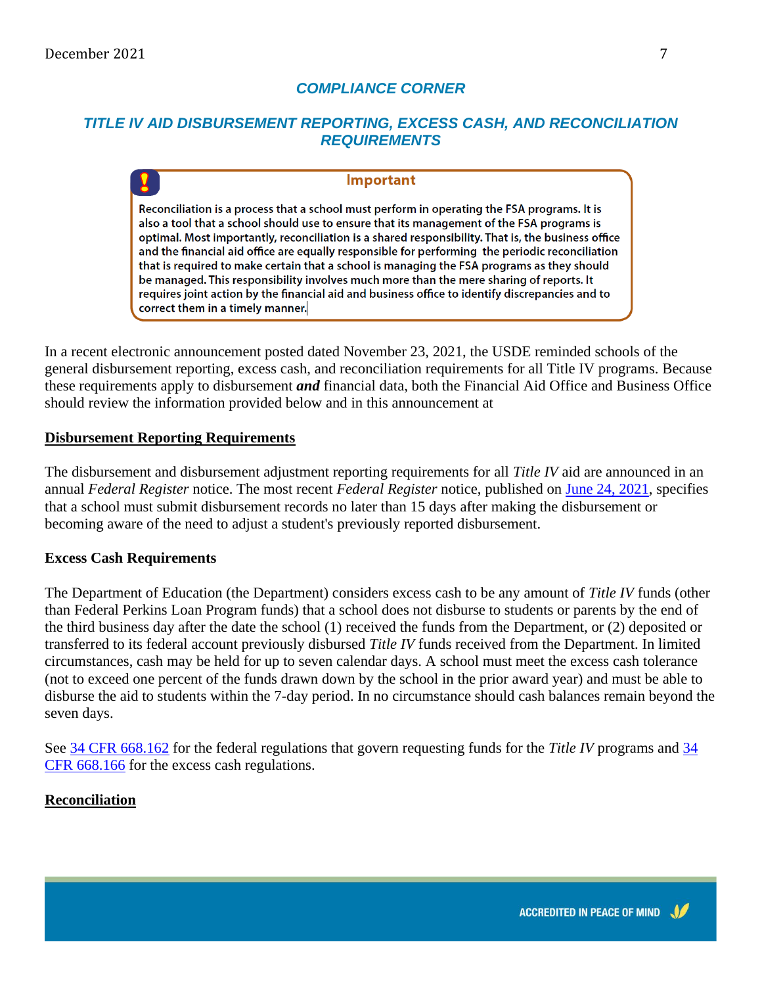# *COMPLIANCE CORNER*

# *TITLE IV AID DISBURSEMENT REPORTING, EXCESS CASH, AND RECONCILIATION REQUIREMENTS*

#### **Important**

Reconciliation is a process that a school must perform in operating the FSA programs. It is also a tool that a school should use to ensure that its management of the FSA programs is optimal. Most importantly, reconciliation is a shared responsibility. That is, the business office and the financial aid office are equally responsible for performing the periodic reconciliation that is required to make certain that a school is managing the FSA programs as they should be managed. This responsibility involves much more than the mere sharing of reports. It requires joint action by the financial aid and business office to identify discrepancies and to correct them in a timely manner.

In a recent electronic announcement posted dated November 23, 2021, the USDE reminded schools of the general disbursement reporting, excess cash, and reconciliation requirements for all Title IV programs. Because these requirements apply to disbursement *and* financial data, both the Financial Aid Office and Business Office should review the information provided below and in this announcement at

#### **Disbursement Reporting Requirements**

The disbursement and disbursement adjustment reporting requirements for all *Title IV* aid are announced in an annual *Federal Register* notice. The most recent *Federal Register* notice, published on [June 24, 2021,](https://www.federalregister.gov/documents/2021/06/24/2021-13379/2021-2022-award-year-deadline-dates-for-reports-and-other-records-associated-with-the-free) specifies that a school must submit disbursement records no later than 15 days after making the disbursement or becoming aware of the need to adjust a student's previously reported disbursement.

#### **Excess Cash Requirements**

The Department of Education (the Department) considers excess cash to be any amount of *Title IV* funds (other than Federal Perkins Loan Program funds) that a school does not disburse to students or parents by the end of the third business day after the date the school (1) received the funds from the Department, or (2) deposited or transferred to its federal account previously disbursed *Title IV* funds received from the Department. In limited circumstances, cash may be held for up to seven calendar days. A school must meet the excess cash tolerance (not to exceed one percent of the funds drawn down by the school in the prior award year) and must be able to disburse the aid to students within the 7-day period. In no circumstance should cash balances remain beyond the seven days.

See [34 CFR 668.162](https://www.ecfr.gov/current/title-34/subtitle-B/chapter-VI/part-668/subpart-K/section-668.162) for the federal regulations that govern requesting funds for the *Title IV* programs and [34](https://www.ecfr.gov/current/title-34/subtitle-B/chapter-VI/part-668/subpart-K/section-668.166)  [CFR 668.166](https://www.ecfr.gov/current/title-34/subtitle-B/chapter-VI/part-668/subpart-K/section-668.166) for the excess cash regulations.

### **Reconciliation**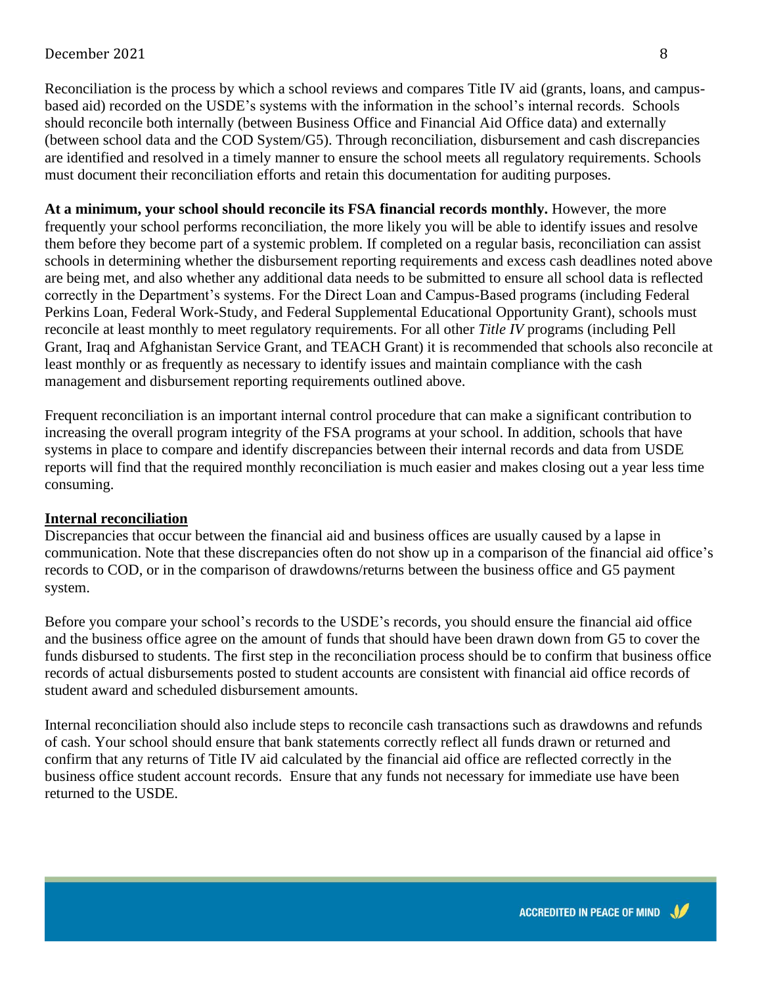Reconciliation is the process by which a school reviews and compares Title IV aid (grants, loans, and campusbased aid) recorded on the USDE's systems with the information in the school's internal records. Schools should reconcile both internally (between Business Office and Financial Aid Office data) and externally (between school data and the COD System/G5). Through reconciliation, disbursement and cash discrepancies are identified and resolved in a timely manner to ensure the school meets all regulatory requirements. Schools must document their reconciliation efforts and retain this documentation for auditing purposes.

**At a minimum, your school should reconcile its FSA financial records monthly.** However, the more frequently your school performs reconciliation, the more likely you will be able to identify issues and resolve them before they become part of a systemic problem. If completed on a regular basis, reconciliation can assist schools in determining whether the disbursement reporting requirements and excess cash deadlines noted above are being met, and also whether any additional data needs to be submitted to ensure all school data is reflected correctly in the Department's systems. For the Direct Loan and Campus-Based programs (including Federal Perkins Loan, Federal Work-Study, and Federal Supplemental Educational Opportunity Grant), schools must reconcile at least monthly to meet regulatory requirements. For all other *Title IV* programs (including Pell Grant, Iraq and Afghanistan Service Grant, and TEACH Grant) it is recommended that schools also reconcile at least monthly or as frequently as necessary to identify issues and maintain compliance with the cash management and disbursement reporting requirements outlined above.

Frequent reconciliation is an important internal control procedure that can make a significant contribution to increasing the overall program integrity of the FSA programs at your school. In addition, schools that have systems in place to compare and identify discrepancies between their internal records and data from USDE reports will find that the required monthly reconciliation is much easier and makes closing out a year less time consuming.

### **Internal reconciliation**

Discrepancies that occur between the financial aid and business offices are usually caused by a lapse in communication. Note that these discrepancies often do not show up in a comparison of the financial aid office's records to COD, or in the comparison of drawdowns/returns between the business office and G5 payment system.

Before you compare your school's records to the USDE's records, you should ensure the financial aid office and the business office agree on the amount of funds that should have been drawn down from G5 to cover the funds disbursed to students. The first step in the reconciliation process should be to confirm that business office records of actual disbursements posted to student accounts are consistent with financial aid office records of student award and scheduled disbursement amounts.

Internal reconciliation should also include steps to reconcile cash transactions such as drawdowns and refunds of cash. Your school should ensure that bank statements correctly reflect all funds drawn or returned and confirm that any returns of Title IV aid calculated by the financial aid office are reflected correctly in the business office student account records. Ensure that any funds not necessary for immediate use have been returned to the USDE.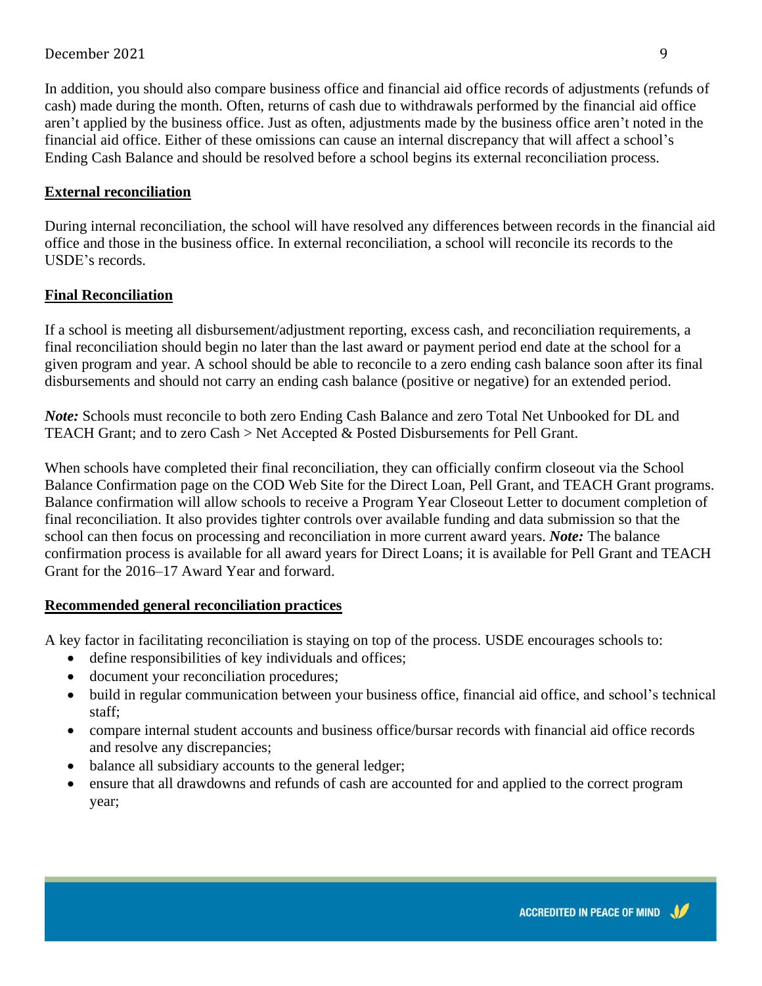In addition, you should also compare business office and financial aid office records of adjustments (refunds of cash) made during the month. Often, returns of cash due to withdrawals performed by the financial aid office aren't applied by the business office. Just as often, adjustments made by the business office aren't noted in the financial aid office. Either of these omissions can cause an internal discrepancy that will affect a school's Ending Cash Balance and should be resolved before a school begins its external reconciliation process.

### **External reconciliation**

During internal reconciliation, the school will have resolved any differences between records in the financial aid office and those in the business office. In external reconciliation, a school will reconcile its records to the USDE's records.

### **Final Reconciliation**

If a school is meeting all disbursement/adjustment reporting, excess cash, and reconciliation requirements, a final reconciliation should begin no later than the last award or payment period end date at the school for a given program and year. A school should be able to reconcile to a zero ending cash balance soon after its final disbursements and should not carry an ending cash balance (positive or negative) for an extended period.

*Note:* Schools must reconcile to both zero Ending Cash Balance and zero Total Net Unbooked for DL and TEACH Grant; and to zero Cash > Net Accepted & Posted Disbursements for Pell Grant.

When schools have completed their final reconciliation, they can officially confirm closeout via the School Balance Confirmation page on the COD Web Site for the Direct Loan, Pell Grant, and TEACH Grant programs. Balance confirmation will allow schools to receive a Program Year Closeout Letter to document completion of final reconciliation. It also provides tighter controls over available funding and data submission so that the school can then focus on processing and reconciliation in more current award years. *Note:* The balance confirmation process is available for all award years for Direct Loans; it is available for Pell Grant and TEACH Grant for the 2016–17 Award Year and forward.

### **Recommended general reconciliation practices**

A key factor in facilitating reconciliation is staying on top of the process. USDE encourages schools to:

- define responsibilities of key individuals and offices;
- document your reconciliation procedures;
- build in regular communication between your business office, financial aid office, and school's technical staff;
- compare internal student accounts and business office/bursar records with financial aid office records and resolve any discrepancies;
- balance all subsidiary accounts to the general ledger;
- ensure that all drawdowns and refunds of cash are accounted for and applied to the correct program year;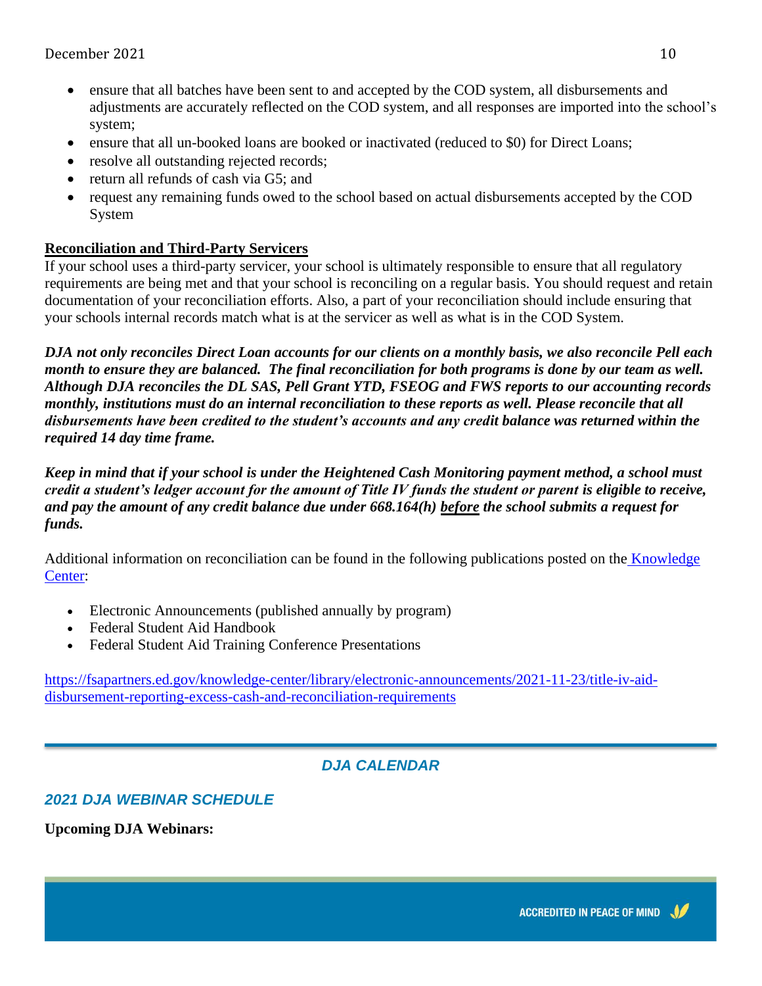- ensure that all batches have been sent to and accepted by the COD system, all disbursements and adjustments are accurately reflected on the COD system, and all responses are imported into the school's system;
- ensure that all un-booked loans are booked or inactivated (reduced to \$0) for Direct Loans;
- resolve all outstanding rejected records;
- return all refunds of cash via G5; and
- request any remaining funds owed to the school based on actual disbursements accepted by the COD System

### **Reconciliation and Third-Party Servicers**

If your school uses a third-party servicer, your school is ultimately responsible to ensure that all regulatory requirements are being met and that your school is reconciling on a regular basis. You should request and retain documentation of your reconciliation efforts. Also, a part of your reconciliation should include ensuring that your schools internal records match what is at the servicer as well as what is in the COD System.

*DJA not only reconciles Direct Loan accounts for our clients on a monthly basis, we also reconcile Pell each month to ensure they are balanced. The final reconciliation for both programs is done by our team as well. Although DJA reconciles the DL SAS, Pell Grant YTD, FSEOG and FWS reports to our accounting records monthly, institutions must do an internal reconciliation to these reports as well. Please reconcile that all disbursements have been credited to the student's accounts and any credit balance was returned within the required 14 day time frame.*

*Keep in mind that if your school is under the Heightened Cash Monitoring payment method, a school must credit a student's ledger account for the amount of Title IV funds the student or parent is eligible to receive, and pay the amount of any credit balance due under 668.164(h) before the school submits a request for funds.*

Additional information on reconciliation can be found in the following publications posted on the [Knowledge](https://fsapartners.ed.gov/knowledge-center)  [Center:](https://fsapartners.ed.gov/knowledge-center)

- Electronic Announcements (published annually by program)
- Federal Student Aid Handbook
- Federal Student Aid Training Conference Presentations

[https://fsapartners.ed.gov/knowledge-center/library/electronic-announcements/2021-11-23/title-iv-aid](https://fsapartners.ed.gov/knowledge-center/library/electronic-announcements/2021-11-23/title-iv-aid-disbursement-reporting-excess-cash-and-reconciliation-requirements)[disbursement-reporting-excess-cash-and-reconciliation-requirements](https://fsapartners.ed.gov/knowledge-center/library/electronic-announcements/2021-11-23/title-iv-aid-disbursement-reporting-excess-cash-and-reconciliation-requirements)

# *DJA CALENDAR*

# *2021 DJA WEBINAR SCHEDULE*

**Upcoming DJA Webinars:**